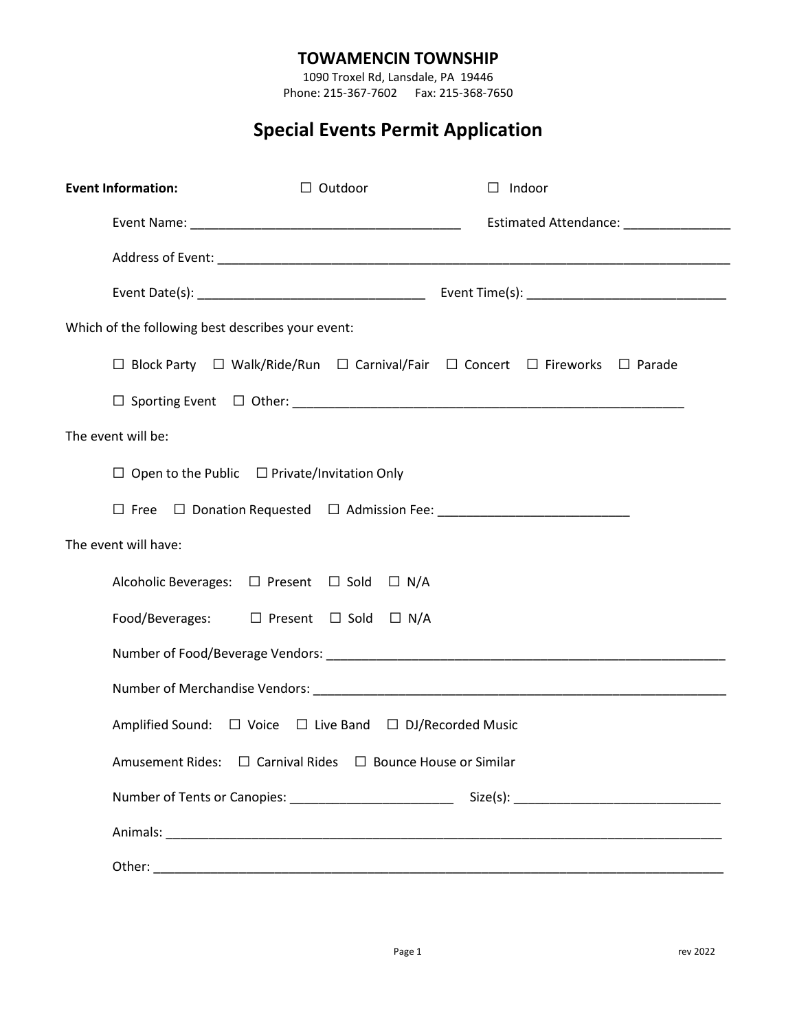# **TOWAMENCIN TOWNSHIP**

1090 Troxel Rd, Lansdale, PA 19446 Phone: 215-367-7602 Fax: 215-368-7650

# **Special Events Permit Application**

| <b>Event Information:</b>                         |                                                                                                            | $\Box$ Outdoor | $\Box$ Indoor |                                                                                                                                                                                                                                     |  |  |  |
|---------------------------------------------------|------------------------------------------------------------------------------------------------------------|----------------|---------------|-------------------------------------------------------------------------------------------------------------------------------------------------------------------------------------------------------------------------------------|--|--|--|
|                                                   |                                                                                                            |                |               | <b>Estimated Attendance:</b> Note that the set of the set of the set of the set of the set of the set of the set of the set of the set of the set of the set of the set of the set of the set of the set of the set of the set of t |  |  |  |
|                                                   |                                                                                                            |                |               |                                                                                                                                                                                                                                     |  |  |  |
|                                                   |                                                                                                            |                |               |                                                                                                                                                                                                                                     |  |  |  |
| Which of the following best describes your event: |                                                                                                            |                |               |                                                                                                                                                                                                                                     |  |  |  |
|                                                   | $\Box$ Block Party $\Box$ Walk/Ride/Run $\Box$ Carnival/Fair $\Box$ Concert $\Box$ Fireworks $\Box$ Parade |                |               |                                                                                                                                                                                                                                     |  |  |  |
|                                                   |                                                                                                            |                |               |                                                                                                                                                                                                                                     |  |  |  |
| The event will be:                                |                                                                                                            |                |               |                                                                                                                                                                                                                                     |  |  |  |
|                                                   | $\Box$ Open to the Public $\Box$ Private/Invitation Only                                                   |                |               |                                                                                                                                                                                                                                     |  |  |  |
|                                                   |                                                                                                            |                |               |                                                                                                                                                                                                                                     |  |  |  |
| The event will have:                              |                                                                                                            |                |               |                                                                                                                                                                                                                                     |  |  |  |
|                                                   | Alcoholic Beverages: □ Present □ Sold □ N/A                                                                |                |               |                                                                                                                                                                                                                                     |  |  |  |
|                                                   | Food/Beverages: □ Present □ Sold □ N/A                                                                     |                |               |                                                                                                                                                                                                                                     |  |  |  |
|                                                   |                                                                                                            |                |               |                                                                                                                                                                                                                                     |  |  |  |
|                                                   |                                                                                                            |                |               |                                                                                                                                                                                                                                     |  |  |  |
|                                                   | Amplified Sound: $\Box$ Voice $\Box$ Live Band $\Box$ DJ/Recorded Music                                    |                |               |                                                                                                                                                                                                                                     |  |  |  |
|                                                   | Amusement Rides: □ Carnival Rides □ Bounce House or Similar                                                |                |               |                                                                                                                                                                                                                                     |  |  |  |
|                                                   |                                                                                                            |                |               |                                                                                                                                                                                                                                     |  |  |  |
|                                                   |                                                                                                            |                |               |                                                                                                                                                                                                                                     |  |  |  |
|                                                   |                                                                                                            |                |               |                                                                                                                                                                                                                                     |  |  |  |